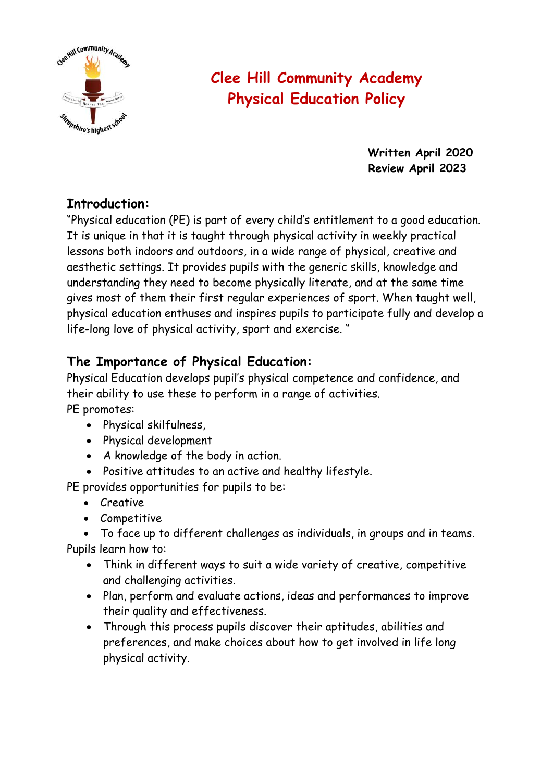

# **Clee Hill Community Academy Physical Education Policy**

**Written April 2020 Review April 2023**

# **Introduction:**

"Physical education (PE) is part of every child's entitlement to a good education. It is unique in that it is taught through physical activity in weekly practical lessons both indoors and outdoors, in a wide range of physical, creative and aesthetic settings. It provides pupils with the generic skills, knowledge and understanding they need to become physically literate, and at the same time gives most of them their first regular experiences of sport. When taught well, physical education enthuses and inspires pupils to participate fully and develop a life-long love of physical activity, sport and exercise. "

# **The Importance of Physical Education:**

Physical Education develops pupil's physical competence and confidence, and their ability to use these to perform in a range of activities.

PE promotes:

- Physical skilfulness,
- Physical development
- A knowledge of the body in action.
- Positive attitudes to an active and healthy lifestyle.

PE provides opportunities for pupils to be:

- Creative
- Competitive

• To face up to different challenges as individuals, in groups and in teams. Pupils learn how to:

- Think in different ways to suit a wide variety of creative, competitive and challenging activities.
- Plan, perform and evaluate actions, ideas and performances to improve their quality and effectiveness.
- Through this process pupils discover their aptitudes, abilities and preferences, and make choices about how to get involved in life long physical activity.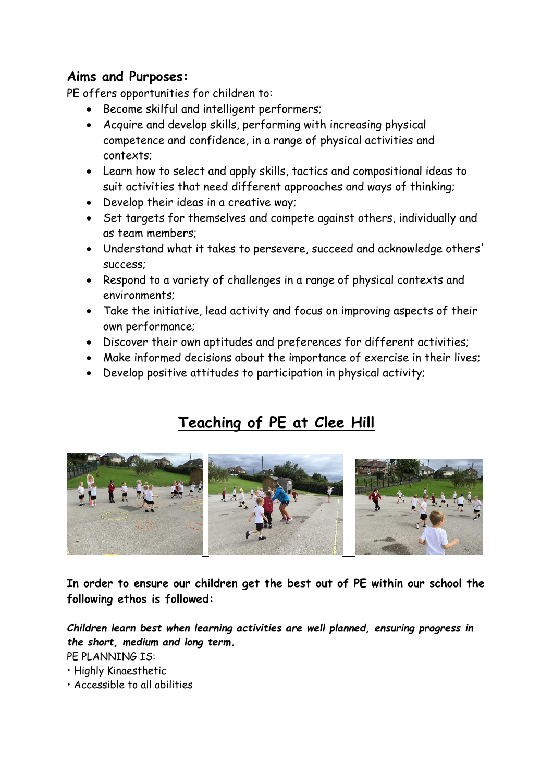## **Aims and Purposes:**

PE offers opportunities for children to:

- Become skilful and intelligent performers;
- Acquire and develop skills, performing with increasing physical competence and confidence, in a range of physical activities and contexts;
- Learn how to select and apply skills, tactics and compositional ideas to suit activities that need different approaches and ways of thinking;
- Develop their ideas in a creative way;
- Set targets for themselves and compete against others, individually and as team members;
- Understand what it takes to persevere, succeed and acknowledge others' success;
- Respond to a variety of challenges in a range of physical contexts and environments;
- Take the initiative, lead activity and focus on improving aspects of their own performance;
- Discover their own aptitudes and preferences for different activities;
- Make informed decisions about the importance of exercise in their lives;
- Develop positive attitudes to participation in physical activity;

# **Teaching of PE at Clee Hill**



**In order to ensure our children get the best out of PE within our school the following ethos is followed:**

*Children learn best when learning activities are well planned, ensuring progress in the short, medium and long term.* 

PE PLANNING IS:

- Highly Kinaesthetic
- Accessible to all abilities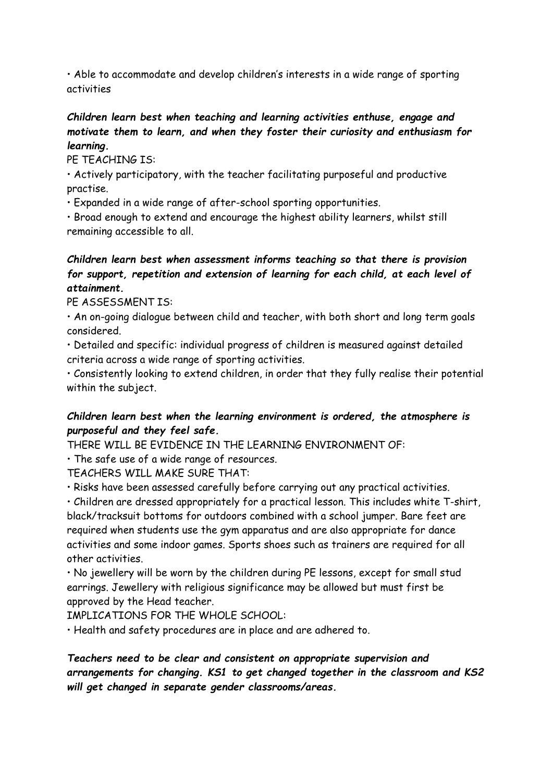• Able to accommodate and develop children's interests in a wide range of sporting activities

#### *Children learn best when teaching and learning activities enthuse, engage and motivate them to learn, and when they foster their curiosity and enthusiasm for learning.*

PE TEACHING IS:

• Actively participatory, with the teacher facilitating purposeful and productive practise.

• Expanded in a wide range of after-school sporting opportunities.

• Broad enough to extend and encourage the highest ability learners, whilst still remaining accessible to all.

#### *Children learn best when assessment informs teaching so that there is provision for support, repetition and extension of learning for each child, at each level of attainment.*

PF ASSESSMENT IS:

• An on-going dialogue between child and teacher, with both short and long term goals considered.

• Detailed and specific: individual progress of children is measured against detailed criteria across a wide range of sporting activities.

• Consistently looking to extend children, in order that they fully realise their potential within the subject.

#### *Children learn best when the learning environment is ordered, the atmosphere is purposeful and they feel safe.*

THERE WILL BE EVIDENCE IN THE LEARNING ENVIRONMENT OF:

• The safe use of a wide range of resources.

TEACHERS WILL MAKE SURE THAT:

• Risks have been assessed carefully before carrying out any practical activities.

• Children are dressed appropriately for a practical lesson. This includes white T-shirt, black/tracksuit bottoms for outdoors combined with a school jumper. Bare feet are required when students use the gym apparatus and are also appropriate for dance activities and some indoor games. Sports shoes such as trainers are required for all other activities.

• No jewellery will be worn by the children during PE lessons, except for small stud earrings. Jewellery with religious significance may be allowed but must first be approved by the Head teacher.

IMPLICATIONS FOR THE WHOLE SCHOOL:

• Health and safety procedures are in place and are adhered to.

*Teachers need to be clear and consistent on appropriate supervision and arrangements for changing. KS1 to get changed together in the classroom and KS2 will get changed in separate gender classrooms/areas.*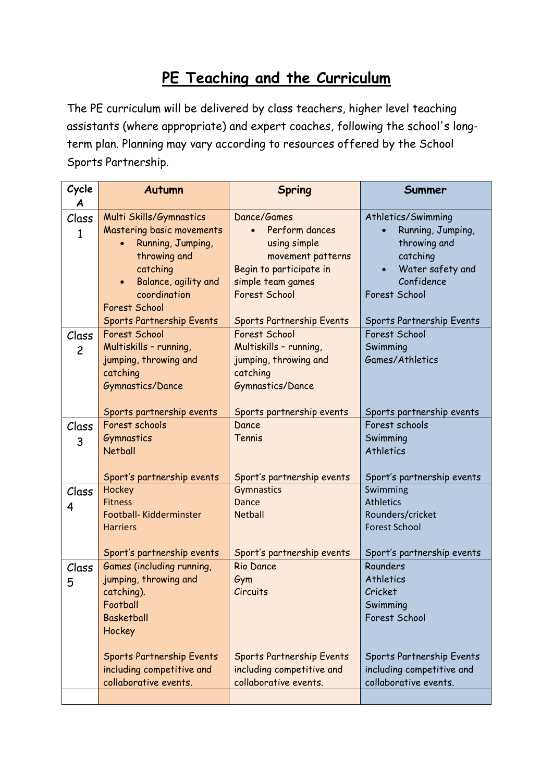# **PE Teaching and the Curriculum**

The PE curriculum will be delivered by class teachers, higher level teaching assistants (where appropriate) and expert coaches, following the school's longterm plan. Planning may vary according to resources offered by the School Sports Partnership.

| Cycle          | <b>Autumn</b>                                          | <b>Spring</b>                                          | Summer                                                 |
|----------------|--------------------------------------------------------|--------------------------------------------------------|--------------------------------------------------------|
| A              |                                                        | Dance/Games                                            |                                                        |
| Class          | Multi Skills/Gymnastics<br>Mastering basic movements   | Perform dances                                         | Athletics/Swimming<br>Running, Jumping,                |
| $\mathbf{1}$   | Running, Jumping,                                      | using simple                                           | throwing and                                           |
|                | throwing and                                           | movement patterns                                      | catching                                               |
|                | catching                                               | Begin to participate in                                | Water safety and                                       |
|                | Balance, agility and<br>$\bullet$                      | simple team games                                      | Confidence                                             |
|                | coordination                                           | Forest School                                          | Forest School                                          |
|                | <b>Forest School</b>                                   |                                                        |                                                        |
|                | Sports Partnership Events                              | Sports Partnership Events                              | Sports Partnership Events                              |
| Class          | Forest School                                          | Forest School                                          | Forest School                                          |
| $\overline{c}$ | Multiskills - running,                                 | Multiskills - running,                                 | Swimming                                               |
|                | jumping, throwing and                                  | jumping, throwing and                                  | Games/Athletics                                        |
|                | catching                                               | catching                                               |                                                        |
|                | Gymnastics/Dance                                       | Gymnastics/Dance                                       |                                                        |
|                |                                                        |                                                        |                                                        |
|                | Sports partnership events                              | Sports partnership events                              | Sports partnership events                              |
| Class          | Forest schools                                         | Dance                                                  | Forest schools                                         |
| 3              | Gymnastics                                             | Tennis                                                 | Swimming                                               |
|                | <b>Netball</b>                                         |                                                        | Athletics                                              |
|                |                                                        |                                                        |                                                        |
|                | Sport's partnership events                             | Sport's partnership events                             | Sport's partnership events                             |
| Class          | Hockey                                                 | Gymnastics                                             | Swimming                                               |
| 4              | <b>Fitness</b><br>Football- Kidderminster              | <b>Dance</b><br><b>Netball</b>                         | <b>Athletics</b><br>Rounders/cricket                   |
|                | <b>Harriers</b>                                        |                                                        | <b>Forest School</b>                                   |
|                |                                                        |                                                        |                                                        |
|                | Sport's partnership events                             | Sport's partnership events                             | Sport's partnership events                             |
| Class          | Games (including running,                              | <b>Rio Dance</b>                                       | Rounders                                               |
| 5              | jumping, throwing and                                  | Gym                                                    | Athletics                                              |
|                | catching).                                             | Circuits                                               | Cricket                                                |
|                | Football                                               |                                                        | Swimming                                               |
|                | <b>Basketball</b>                                      |                                                        | Forest School                                          |
|                | Hockey                                                 |                                                        |                                                        |
|                |                                                        |                                                        |                                                        |
|                | Sports Partnership Events<br>including competitive and | Sports Partnership Events<br>including competitive and | Sports Partnership Events<br>including competitive and |
|                | collaborative events.                                  | collaborative events.                                  | collaborative events.                                  |
|                |                                                        |                                                        |                                                        |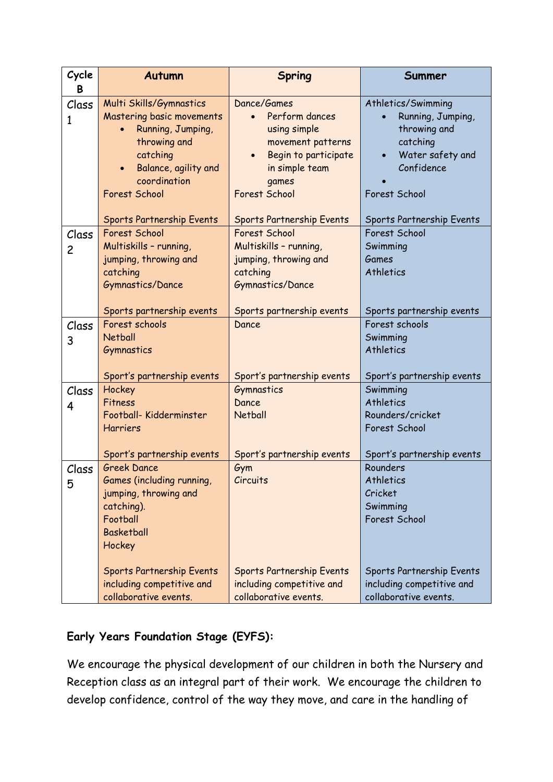| Cycle<br>B              | <b>Autumn</b>                                                                                                                                                               | <b>Spring</b>                                                                                                                                              | Summer                                                                                                                 |
|-------------------------|-----------------------------------------------------------------------------------------------------------------------------------------------------------------------------|------------------------------------------------------------------------------------------------------------------------------------------------------------|------------------------------------------------------------------------------------------------------------------------|
| Class<br>1              | Multi Skills/Gymnastics<br>Mastering basic movements<br>Running, Jumping,<br>throwing and<br>catching<br>Balance, agility and<br>$\bullet$<br>coordination<br>Forest School | Dance/Games<br>Perform dances<br>using simple<br>movement patterns<br>Begin to participate<br>in simple team<br>games<br>Forest School                     | Athletics/Swimming<br>Running, Jumping,<br>throwing and<br>catching<br>Water safety and<br>Confidence<br>Forest School |
| Class<br>$\overline{c}$ | Sports Partnership Events<br><b>Forest School</b><br>Multiskills - running,<br>jumping, throwing and<br>catching<br>Gymnastics/Dance<br>Sports partnership events           | Sports Partnership Events<br>Forest School<br>Multiskills - running,<br>jumping, throwing and<br>catching<br>Gymnastics/Dance<br>Sports partnership events | Sports Partnership Events<br>Forest School<br>Swimming<br><b>Games</b><br>Athletics<br>Sports partnership events       |
| Class<br>3              | Forest schools<br><b>Netball</b><br>Gymnastics<br>Sport's partnership events                                                                                                | Dance<br>Sport's partnership events                                                                                                                        | Forest schools<br>Swimming<br>Athletics<br>Sport's partnership events                                                  |
| Class<br>4              | Hockey<br>Fitness<br>Football- Kidderminster<br><b>Harriers</b><br>Sport's partnership events                                                                               | Gymnastics<br>Dance<br><b>Netball</b><br>Sport's partnership events                                                                                        | Swimming<br>Athletics<br>Rounders/cricket<br>Forest School<br>Sport's partnership events                               |
| Class<br>5              | <b>Greek Dance</b><br>Games (including running,<br>jumping, throwing and<br>catching).<br>Football<br><b>Basketball</b><br>Hockey<br><b>Sports Partnership Events</b>       | Gym<br>Circuits<br>Sports Partnership Events                                                                                                               | Rounders<br>Athletics<br>Cricket<br>Swimming<br>Forest School<br>Sports Partnership Events                             |
|                         | including competitive and<br>collaborative events.                                                                                                                          | including competitive and<br>collaborative events.                                                                                                         | including competitive and<br>collaborative events.                                                                     |

## **Early Years Foundation Stage (EYFS):**

We encourage the physical development of our children in both the Nursery and Reception class as an integral part of their work. We encourage the children to develop confidence, control of the way they move, and care in the handling of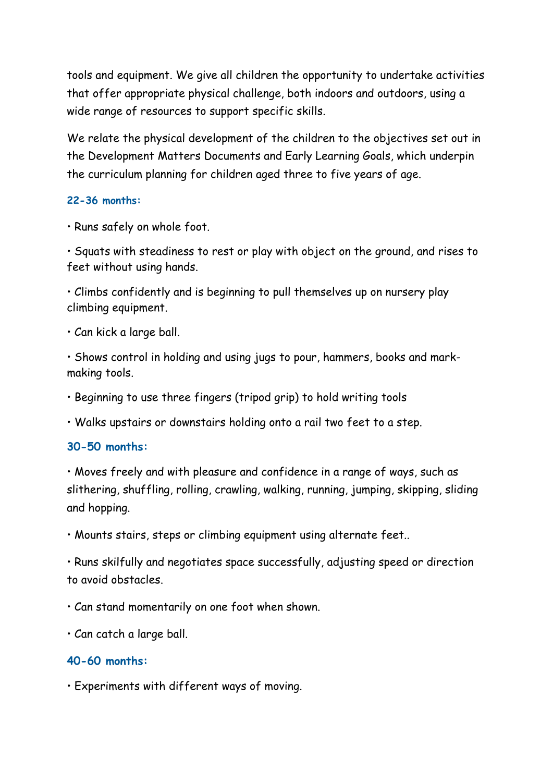tools and equipment. We give all children the opportunity to undertake activities that offer appropriate physical challenge, both indoors and outdoors, using a wide range of resources to support specific skills.

We relate the physical development of the children to the objectives set out in the Development Matters Documents and Early Learning Goals, which underpin the curriculum planning for children aged three to five years of age.

#### **22-36 months:**

• Runs safely on whole foot.

• Squats with steadiness to rest or play with object on the ground, and rises to feet without using hands.

• Climbs confidently and is beginning to pull themselves up on nursery play climbing equipment.

• Can kick a large ball.

• Shows control in holding and using jugs to pour, hammers, books and markmaking tools.

• Beginning to use three fingers (tripod grip) to hold writing tools

• Walks upstairs or downstairs holding onto a rail two feet to a step.

#### **30-50 months:**

• Moves freely and with pleasure and confidence in a range of ways, such as slithering, shuffling, rolling, crawling, walking, running, jumping, skipping, sliding and hopping.

• Mounts stairs, steps or climbing equipment using alternate feet..

• Runs skilfully and negotiates space successfully, adjusting speed or direction to avoid obstacles.

• Can stand momentarily on one foot when shown.

• Can catch a large ball.

#### **40-60 months:**

• Experiments with different ways of moving.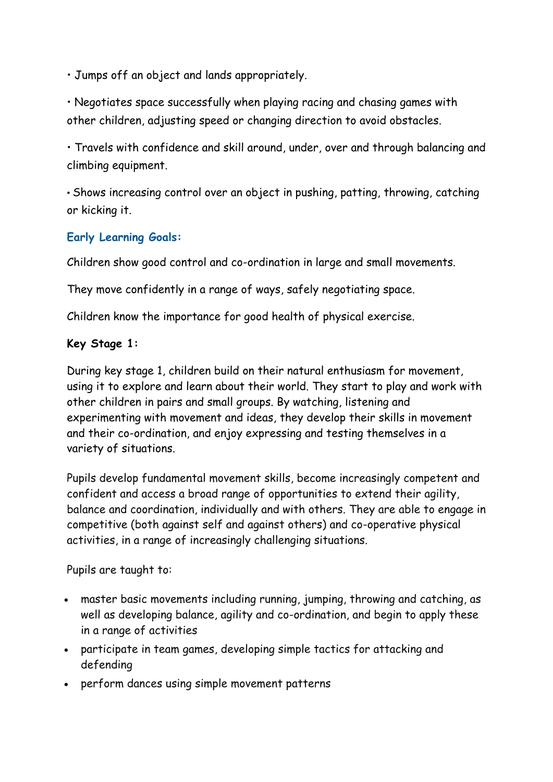• Jumps off an object and lands appropriately.

• Negotiates space successfully when playing racing and chasing games with other children, adjusting speed or changing direction to avoid obstacles.

• Travels with confidence and skill around, under, over and through balancing and climbing equipment.

• Shows increasing control over an object in pushing, patting, throwing, catching or kicking it.

## **Early Learning Goals:**

Children show good control and co-ordination in large and small movements.

They move confidently in a range of ways, safely negotiating space.

Children know the importance for good health of physical exercise.

### **Key Stage 1:**

During key stage 1, children build on their natural enthusiasm for movement, using it to explore and learn about their world. They start to play and work with other children in pairs and small groups. By watching, listening and experimenting with movement and ideas, they develop their skills in movement and their co-ordination, and enjoy expressing and testing themselves in a variety of situations.

Pupils develop fundamental movement skills, become increasingly competent and confident and access a broad range of opportunities to extend their agility, balance and coordination, individually and with others. They are able to engage in competitive (both against self and against others) and co-operative physical activities, in a range of increasingly challenging situations.

Pupils are taught to:

- master basic movements including running, jumping, throwing and catching, as well as developing balance, agility and co-ordination, and begin to apply these in a range of activities
- participate in team games, developing simple tactics for attacking and defending
- perform dances using simple movement patterns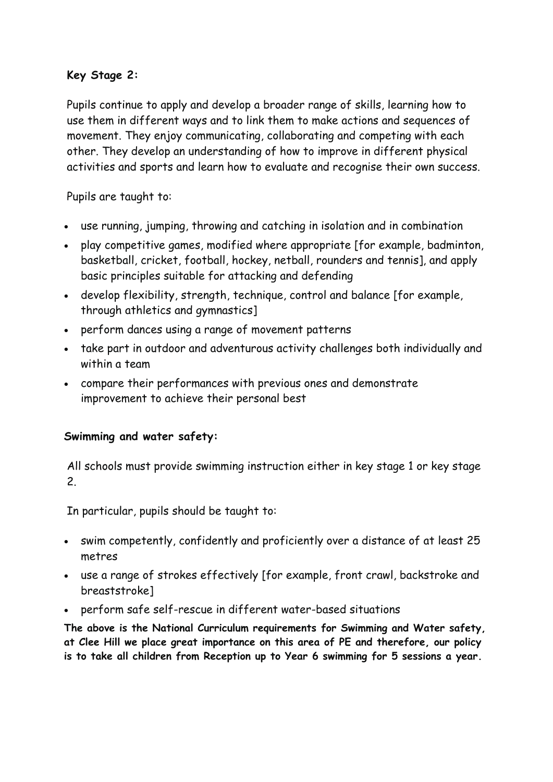### **Key Stage 2:**

Pupils continue to apply and develop a broader range of skills, learning how to use them in different ways and to link them to make actions and sequences of movement. They enjoy communicating, collaborating and competing with each other. They develop an understanding of how to improve in different physical activities and sports and learn how to evaluate and recognise their own success.

Pupils are taught to:

- use running, jumping, throwing and catching in isolation and in combination
- play competitive games, modified where appropriate [for example, badminton, basketball, cricket, football, hockey, netball, rounders and tennis], and apply basic principles suitable for attacking and defending
- develop flexibility, strength, technique, control and balance [for example, through athletics and gymnastics]
- perform dances using a range of movement patterns
- take part in outdoor and adventurous activity challenges both individually and within a team
- compare their performances with previous ones and demonstrate improvement to achieve their personal best

#### **Swimming and water safety:**

All schools must provide swimming instruction either in key stage 1 or key stage 2.

In particular, pupils should be taught to:

- swim competently, confidently and proficiently over a distance of at least 25 metres
- use a range of strokes effectively [for example, front crawl, backstroke and breaststroke]
- perform safe self-rescue in different water-based situations

**The above is the National Curriculum requirements for Swimming and Water safety, at Clee Hill we place great importance on this area of PE and therefore, our policy is to take all children from Reception up to Year 6 swimming for 5 sessions a year.**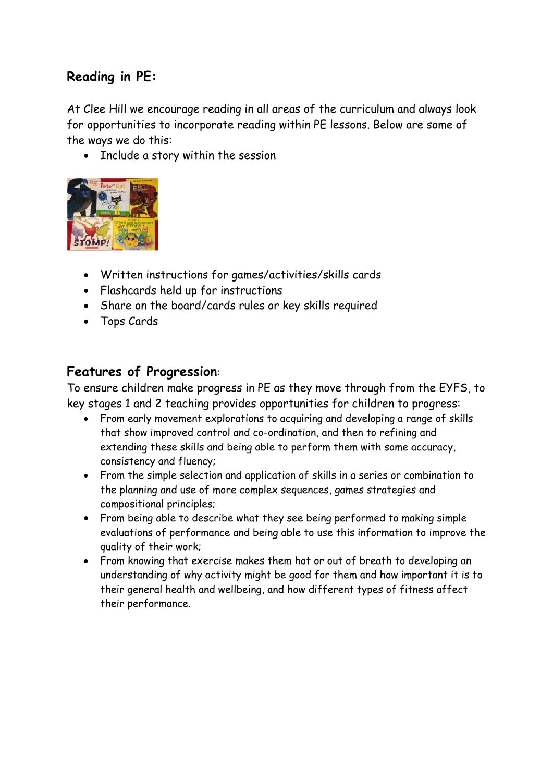# **Reading in PE:**

At Clee Hill we encourage reading in all areas of the curriculum and always look for opportunities to incorporate reading within PE lessons. Below are some of the ways we do this:

• Include a story within the session



- Written instructions for games/activities/skills cards
- Flashcards held up for instructions
- Share on the board/cards rules or key skills required
- Tops Cards

## **Features of Progression**:

To ensure children make progress in PE as they move through from the EYFS, to key stages 1 and 2 teaching provides opportunities for children to progress:

- From early movement explorations to acquiring and developing a range of skills that show improved control and co-ordination, and then to refining and extending these skills and being able to perform them with some accuracy, consistency and fluency;
- From the simple selection and application of skills in a series or combination to the planning and use of more complex sequences, games strategies and compositional principles;
- From being able to describe what they see being performed to making simple evaluations of performance and being able to use this information to improve the quality of their work;
- From knowing that exercise makes them hot or out of breath to developing an understanding of why activity might be good for them and how important it is to their general health and wellbeing, and how different types of fitness affect their performance.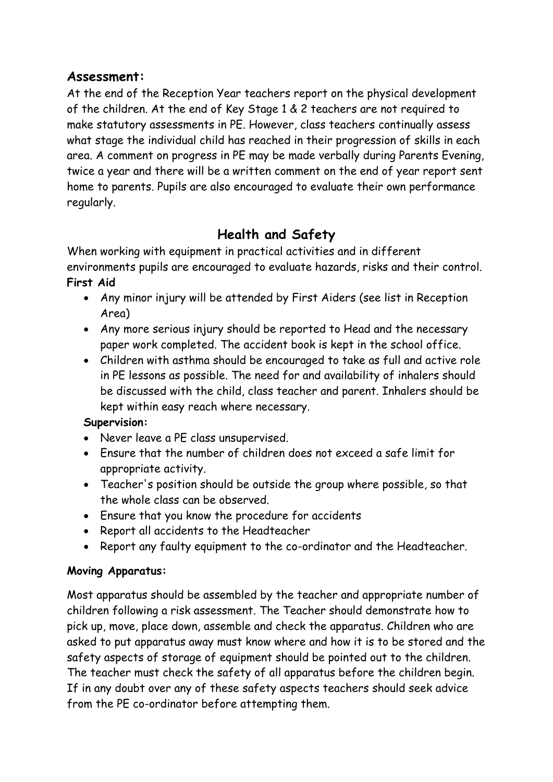## **Assessment:**

At the end of the Reception Year teachers report on the physical development of the children. At the end of Key Stage 1 & 2 teachers are not required to make statutory assessments in PE. However, class teachers continually assess what stage the individual child has reached in their progression of skills in each area. A comment on progress in PE may be made verbally during Parents Evening, twice a year and there will be a written comment on the end of year report sent home to parents. Pupils are also encouraged to evaluate their own performance regularly.

# **Health and Safety**

When working with equipment in practical activities and in different environments pupils are encouraged to evaluate hazards, risks and their control. **First Aid**

- Any minor injury will be attended by First Aiders (see list in Reception Area)
- Any more serious injury should be reported to Head and the necessary paper work completed. The accident book is kept in the school office.
- Children with asthma should be encouraged to take as full and active role in PE lessons as possible. The need for and availability of inhalers should be discussed with the child, class teacher and parent. Inhalers should be kept within easy reach where necessary.

## **Supervision:**

- Never leave a PE class unsupervised.
- Ensure that the number of children does not exceed a safe limit for appropriate activity.
- Teacher's position should be outside the group where possible, so that the whole class can be observed.
- Ensure that you know the procedure for accidents
- Report all accidents to the Headteacher
- Report any faulty equipment to the co-ordinator and the Headteacher.

## **Moving Apparatus:**

Most apparatus should be assembled by the teacher and appropriate number of children following a risk assessment. The Teacher should demonstrate how to pick up, move, place down, assemble and check the apparatus. Children who are asked to put apparatus away must know where and how it is to be stored and the safety aspects of storage of equipment should be pointed out to the children. The teacher must check the safety of all apparatus before the children begin. If in any doubt over any of these safety aspects teachers should seek advice from the PE co-ordinator before attempting them.